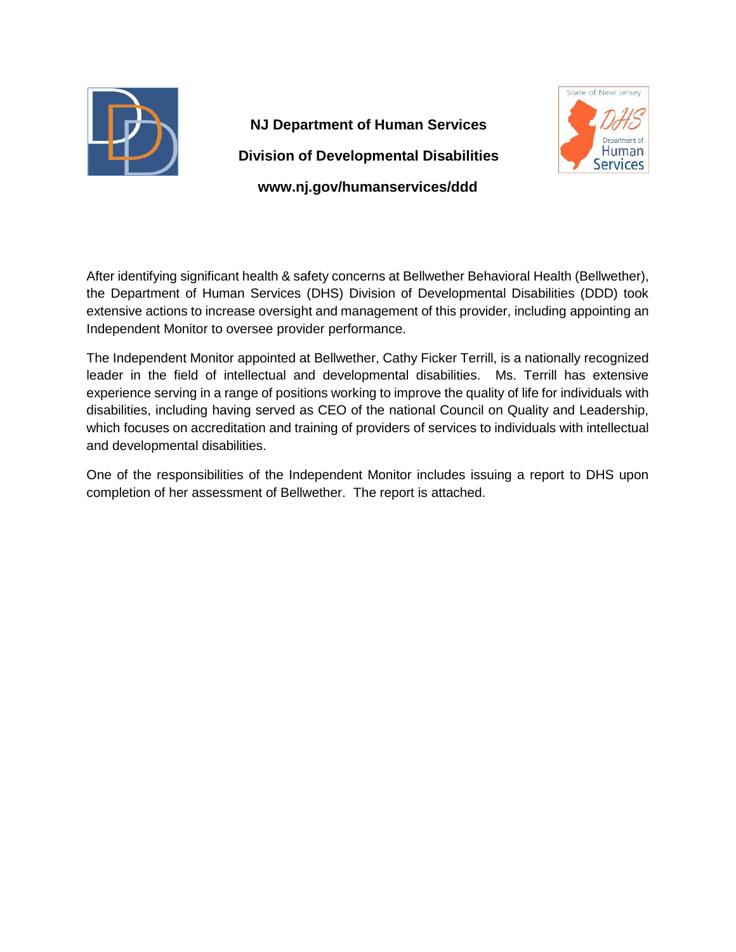

# **NJ Department of Human Services Division of Developmental Disabilities www.nj.gov/humanservices/ddd**



After identifying significant health & safety concerns at Bellwether Behavioral Health (Bellwether), the Department of Human Services (DHS) Division of Developmental Disabilities (DDD) took extensive actions to increase oversight and management of this provider, including appointing an Independent Monitor to oversee provider performance.

The Independent Monitor appointed at Bellwether, Cathy Ficker Terrill, is a nationally recognized leader in the field of intellectual and developmental disabilities. Ms. Terrill has extensive experience serving in a range of positions working to improve the quality of life for individuals with disabilities, including having served as CEO of the national Council on Quality and Leadership, which focuses on accreditation and training of providers of services to individuals with intellectual and developmental disabilities.

One of the responsibilities of the Independent Monitor includes issuing a report to DHS upon completion of her assessment of Bellwether. The report is attached.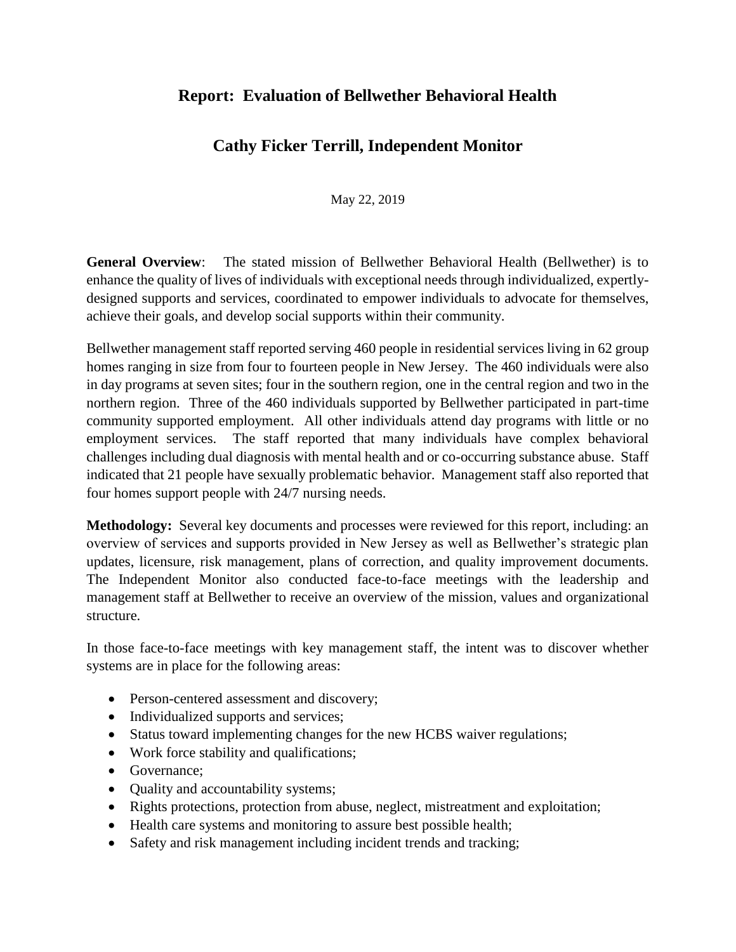# **Report: Evaluation of Bellwether Behavioral Health**

# **Cathy Ficker Terrill, Independent Monitor**

May 22, 2019

**General Overview**: The stated mission of Bellwether Behavioral Health (Bellwether) is to enhance the quality of lives of individuals with exceptional needs through individualized, expertlydesigned supports and services, coordinated to empower individuals to advocate for themselves, achieve their goals, and develop social supports within their community.

Bellwether management staff reported serving 460 people in residential services living in 62 group homes ranging in size from four to fourteen people in New Jersey. The 460 individuals were also in day programs at seven sites; four in the southern region, one in the central region and two in the northern region. Three of the 460 individuals supported by Bellwether participated in part-time community supported employment. All other individuals attend day programs with little or no employment services. The staff reported that many individuals have complex behavioral challenges including dual diagnosis with mental health and or co-occurring substance abuse. Staff indicated that 21 people have sexually problematic behavior. Management staff also reported that four homes support people with 24/7 nursing needs.

**Methodology:** Several key documents and processes were reviewed for this report, including: an overview of services and supports provided in New Jersey as well as Bellwether's strategic plan updates, licensure, risk management, plans of correction, and quality improvement documents. The Independent Monitor also conducted face-to-face meetings with the leadership and management staff at Bellwether to receive an overview of the mission, values and organizational structure.

In those face-to-face meetings with key management staff, the intent was to discover whether systems are in place for the following areas:

- Person-centered assessment and discovery;
- Individualized supports and services;
- Status toward implementing changes for the new HCBS waiver regulations;
- Work force stability and qualifications;
- Governance:
- Quality and accountability systems;
- Rights protections, protection from abuse, neglect, mistreatment and exploitation;
- Health care systems and monitoring to assure best possible health;
- Safety and risk management including incident trends and tracking;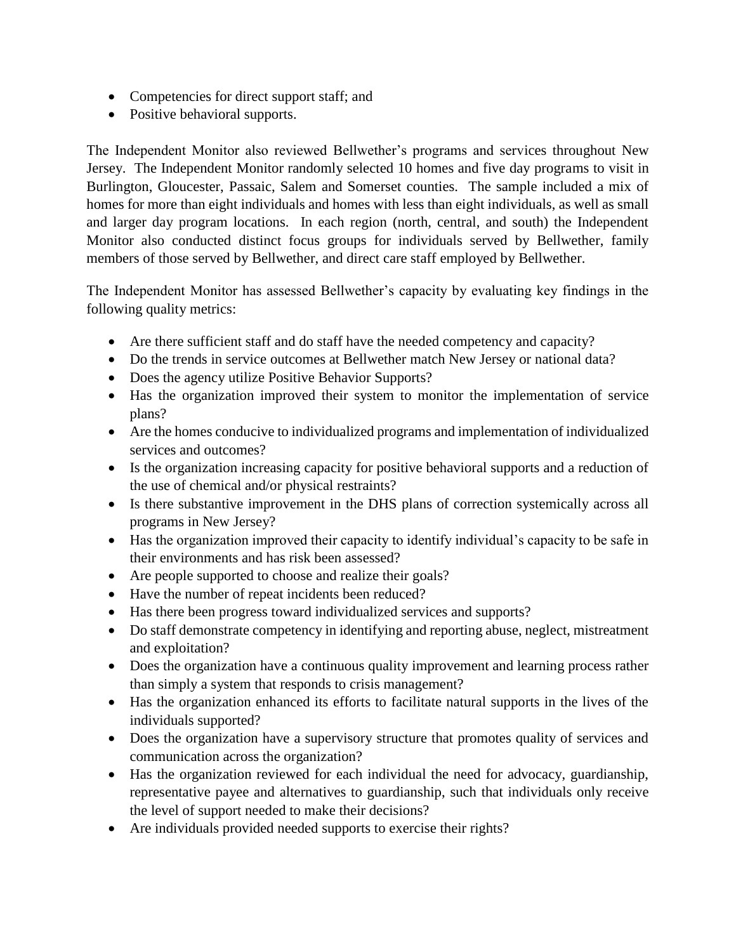- Competencies for direct support staff; and
- Positive behavioral supports.

The Independent Monitor also reviewed Bellwether's programs and services throughout New Jersey. The Independent Monitor randomly selected 10 homes and five day programs to visit in Burlington, Gloucester, Passaic, Salem and Somerset counties. The sample included a mix of homes for more than eight individuals and homes with less than eight individuals, as well as small and larger day program locations. In each region (north, central, and south) the Independent Monitor also conducted distinct focus groups for individuals served by Bellwether, family members of those served by Bellwether, and direct care staff employed by Bellwether.

The Independent Monitor has assessed Bellwether's capacity by evaluating key findings in the following quality metrics:

- Are there sufficient staff and do staff have the needed competency and capacity?
- Do the trends in service outcomes at Bellwether match New Jersey or national data?
- Does the agency utilize Positive Behavior Supports?
- Has the organization improved their system to monitor the implementation of service plans?
- Are the homes conducive to individualized programs and implementation of individualized services and outcomes?
- Is the organization increasing capacity for positive behavioral supports and a reduction of the use of chemical and/or physical restraints?
- Is there substantive improvement in the DHS plans of correction systemically across all programs in New Jersey?
- Has the organization improved their capacity to identify individual's capacity to be safe in their environments and has risk been assessed?
- Are people supported to choose and realize their goals?
- Have the number of repeat incidents been reduced?
- Has there been progress toward individualized services and supports?
- Do staff demonstrate competency in identifying and reporting abuse, neglect, mistreatment and exploitation?
- Does the organization have a continuous quality improvement and learning process rather than simply a system that responds to crisis management?
- Has the organization enhanced its efforts to facilitate natural supports in the lives of the individuals supported?
- Does the organization have a supervisory structure that promotes quality of services and communication across the organization?
- Has the organization reviewed for each individual the need for advocacy, guardianship, representative payee and alternatives to guardianship, such that individuals only receive the level of support needed to make their decisions?
- Are individuals provided needed supports to exercise their rights?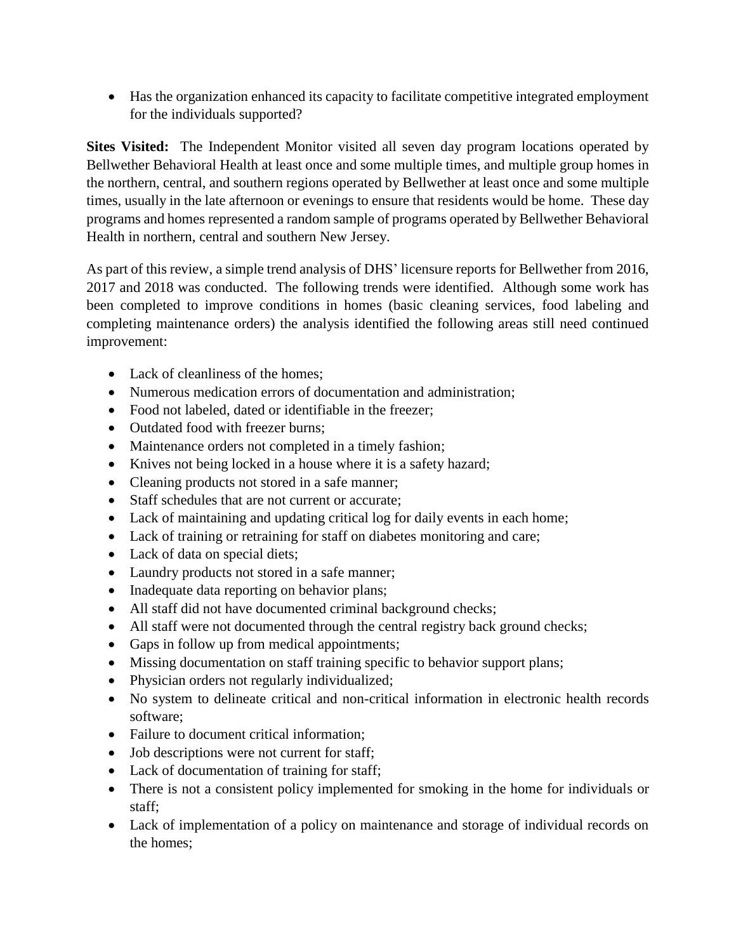Has the organization enhanced its capacity to facilitate competitive integrated employment for the individuals supported?

**Sites Visited:** The Independent Monitor visited all seven day program locations operated by Bellwether Behavioral Health at least once and some multiple times, and multiple group homes in the northern, central, and southern regions operated by Bellwether at least once and some multiple times, usually in the late afternoon or evenings to ensure that residents would be home. These day programs and homes represented a random sample of programs operated by Bellwether Behavioral Health in northern, central and southern New Jersey.

As part of this review, a simple trend analysis of DHS' licensure reports for Bellwether from 2016, 2017 and 2018 was conducted. The following trends were identified. Although some work has been completed to improve conditions in homes (basic cleaning services, food labeling and completing maintenance orders) the analysis identified the following areas still need continued improvement:

- Lack of cleanliness of the homes:
- Numerous medication errors of documentation and administration;
- Food not labeled, dated or identifiable in the freezer;
- Outdated food with freezer burns:
- Maintenance orders not completed in a timely fashion;
- Knives not being locked in a house where it is a safety hazard;
- Cleaning products not stored in a safe manner;
- Staff schedules that are not current or accurate;
- Lack of maintaining and updating critical log for daily events in each home;
- Lack of training or retraining for staff on diabetes monitoring and care;
- Lack of data on special diets;
- Laundry products not stored in a safe manner;
- Inadequate data reporting on behavior plans;
- All staff did not have documented criminal background checks;
- All staff were not documented through the central registry back ground checks;
- Gaps in follow up from medical appointments;
- Missing documentation on staff training specific to behavior support plans;
- Physician orders not regularly individualized;
- No system to delineate critical and non-critical information in electronic health records software;
- Failure to document critical information:
- Job descriptions were not current for staff;
- Lack of documentation of training for staff;
- There is not a consistent policy implemented for smoking in the home for individuals or staff;
- Lack of implementation of a policy on maintenance and storage of individual records on the homes;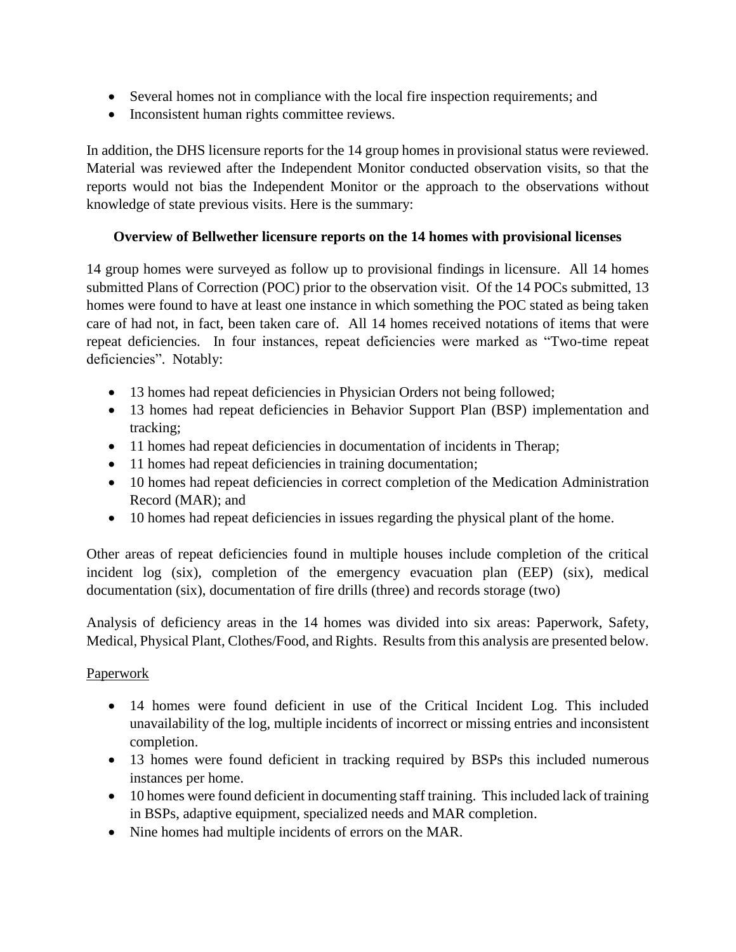- Several homes not in compliance with the local fire inspection requirements; and
- Inconsistent human rights committee reviews.

In addition, the DHS licensure reports for the 14 group homes in provisional status were reviewed. Material was reviewed after the Independent Monitor conducted observation visits, so that the reports would not bias the Independent Monitor or the approach to the observations without knowledge of state previous visits. Here is the summary:

#### **Overview of Bellwether licensure reports on the 14 homes with provisional licenses**

14 group homes were surveyed as follow up to provisional findings in licensure. All 14 homes submitted Plans of Correction (POC) prior to the observation visit. Of the 14 POCs submitted, 13 homes were found to have at least one instance in which something the POC stated as being taken care of had not, in fact, been taken care of. All 14 homes received notations of items that were repeat deficiencies. In four instances, repeat deficiencies were marked as "Two-time repeat deficiencies". Notably:

- 13 homes had repeat deficiencies in Physician Orders not being followed;
- 13 homes had repeat deficiencies in Behavior Support Plan (BSP) implementation and tracking;
- 11 homes had repeat deficiencies in documentation of incidents in Therap;
- 11 homes had repeat deficiencies in training documentation;
- 10 homes had repeat deficiencies in correct completion of the Medication Administration Record (MAR); and
- 10 homes had repeat deficiencies in issues regarding the physical plant of the home.

Other areas of repeat deficiencies found in multiple houses include completion of the critical incident log (six), completion of the emergency evacuation plan (EEP) (six), medical documentation (six), documentation of fire drills (three) and records storage (two)

Analysis of deficiency areas in the 14 homes was divided into six areas: Paperwork, Safety, Medical, Physical Plant, Clothes/Food, and Rights. Results from this analysis are presented below.

# Paperwork

- 14 homes were found deficient in use of the Critical Incident Log. This included unavailability of the log, multiple incidents of incorrect or missing entries and inconsistent completion.
- 13 homes were found deficient in tracking required by BSPs this included numerous instances per home.
- 10 homes were found deficient in documenting staff training. This included lack of training in BSPs, adaptive equipment, specialized needs and MAR completion.
- Nine homes had multiple incidents of errors on the MAR.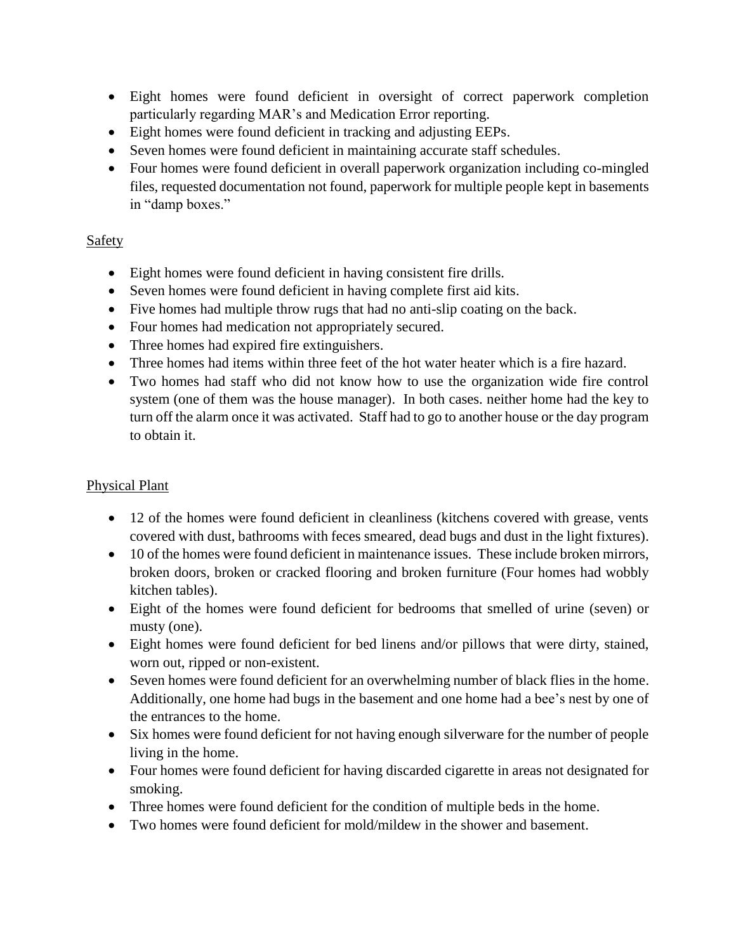- Eight homes were found deficient in oversight of correct paperwork completion particularly regarding MAR's and Medication Error reporting.
- Eight homes were found deficient in tracking and adjusting EEPs.
- Seven homes were found deficient in maintaining accurate staff schedules.
- Four homes were found deficient in overall paperwork organization including co-mingled files, requested documentation not found, paperwork for multiple people kept in basements in "damp boxes."

# Safety

- Eight homes were found deficient in having consistent fire drills.
- Seven homes were found deficient in having complete first aid kits.
- Five homes had multiple throw rugs that had no anti-slip coating on the back.
- Four homes had medication not appropriately secured.
- Three homes had expired fire extinguishers.
- Three homes had items within three feet of the hot water heater which is a fire hazard.
- Two homes had staff who did not know how to use the organization wide fire control system (one of them was the house manager). In both cases. neither home had the key to turn off the alarm once it was activated. Staff had to go to another house or the day program to obtain it.

# Physical Plant

- 12 of the homes were found deficient in cleanliness (kitchens covered with grease, vents covered with dust, bathrooms with feces smeared, dead bugs and dust in the light fixtures).
- 10 of the homes were found deficient in maintenance issues. These include broken mirrors, broken doors, broken or cracked flooring and broken furniture (Four homes had wobbly kitchen tables).
- Eight of the homes were found deficient for bedrooms that smelled of urine (seven) or musty (one).
- Eight homes were found deficient for bed linens and/or pillows that were dirty, stained, worn out, ripped or non-existent.
- Seven homes were found deficient for an overwhelming number of black flies in the home. Additionally, one home had bugs in the basement and one home had a bee's nest by one of the entrances to the home.
- Six homes were found deficient for not having enough silverware for the number of people living in the home.
- Four homes were found deficient for having discarded cigarette in areas not designated for smoking.
- Three homes were found deficient for the condition of multiple beds in the home.
- Two homes were found deficient for mold/mildew in the shower and basement.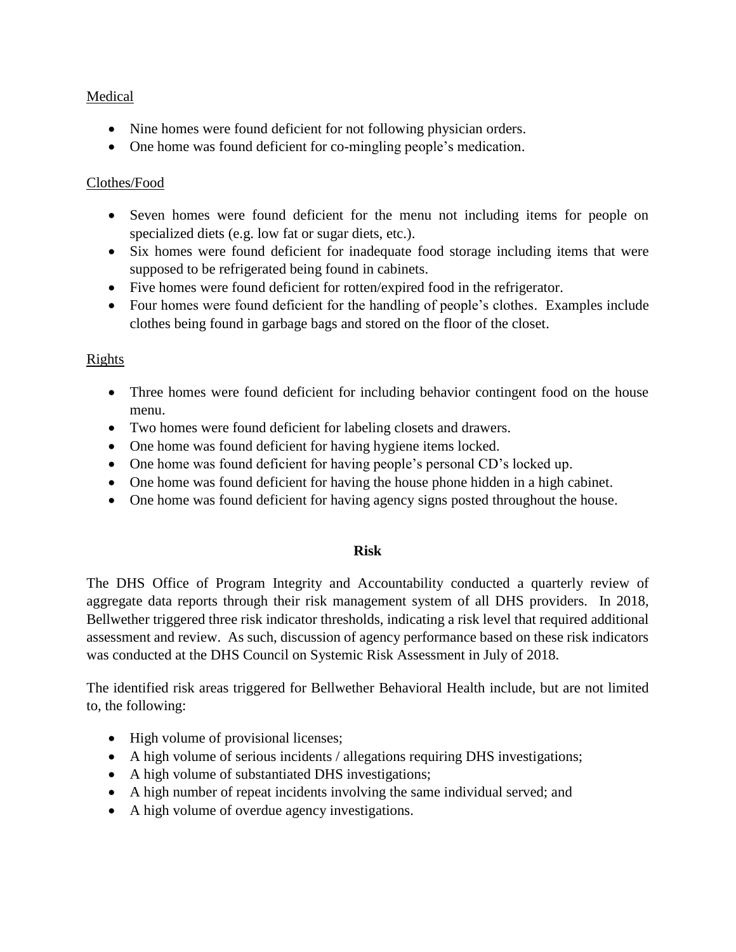#### Medical

- Nine homes were found deficient for not following physician orders.
- One home was found deficient for co-mingling people's medication.

#### Clothes/Food

- Seven homes were found deficient for the menu not including items for people on specialized diets (e.g. low fat or sugar diets, etc.).
- Six homes were found deficient for inadequate food storage including items that were supposed to be refrigerated being found in cabinets.
- Five homes were found deficient for rotten/expired food in the refrigerator.
- Four homes were found deficient for the handling of people's clothes. Examples include clothes being found in garbage bags and stored on the floor of the closet.

#### **Rights**

- Three homes were found deficient for including behavior contingent food on the house menu.
- Two homes were found deficient for labeling closets and drawers.
- One home was found deficient for having hygiene items locked.
- One home was found deficient for having people's personal CD's locked up.
- One home was found deficient for having the house phone hidden in a high cabinet.
- One home was found deficient for having agency signs posted throughout the house.

#### **Risk**

The DHS Office of Program Integrity and Accountability conducted a quarterly review of aggregate data reports through their risk management system of all DHS providers. In 2018, Bellwether triggered three risk indicator thresholds, indicating a risk level that required additional assessment and review. As such, discussion of agency performance based on these risk indicators was conducted at the DHS Council on Systemic Risk Assessment in July of 2018.

The identified risk areas triggered for Bellwether Behavioral Health include, but are not limited to, the following:

- High volume of provisional licenses;
- A high volume of serious incidents / allegations requiring DHS investigations;
- A high volume of substantiated DHS investigations;
- A high number of repeat incidents involving the same individual served; and
- A high volume of overdue agency investigations.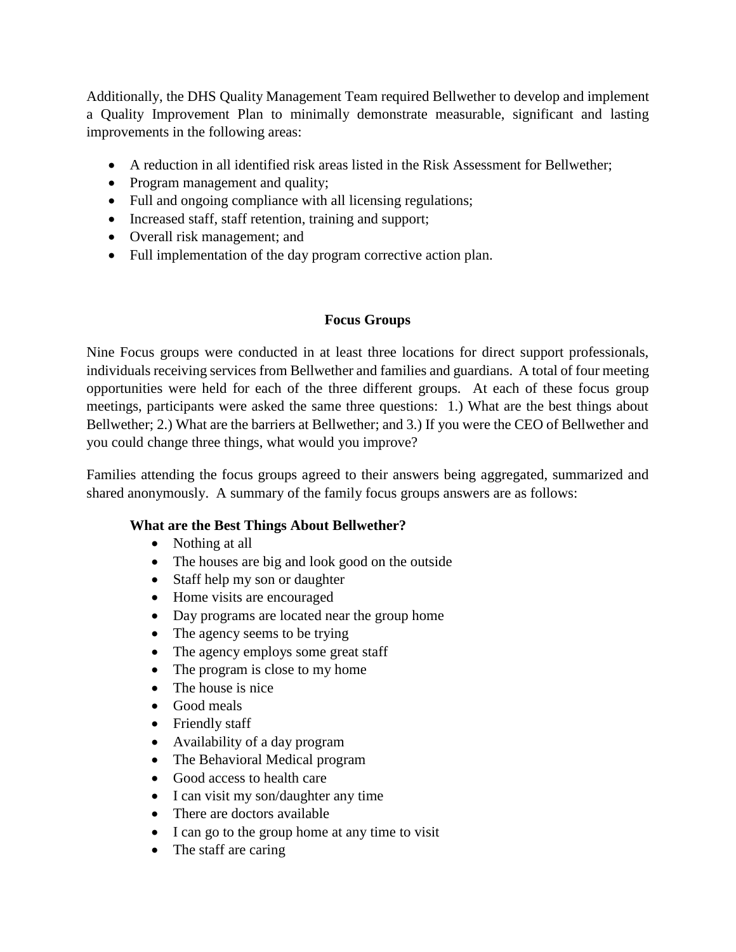Additionally, the DHS Quality Management Team required Bellwether to develop and implement a Quality Improvement Plan to minimally demonstrate measurable, significant and lasting improvements in the following areas:

- A reduction in all identified risk areas listed in the Risk Assessment for Bellwether;
- Program management and quality;
- Full and ongoing compliance with all licensing regulations;
- Increased staff, staff retention, training and support;
- Overall risk management; and
- Full implementation of the day program corrective action plan.

#### **Focus Groups**

Nine Focus groups were conducted in at least three locations for direct support professionals, individuals receiving services from Bellwether and families and guardians. A total of four meeting opportunities were held for each of the three different groups. At each of these focus group meetings, participants were asked the same three questions: 1.) What are the best things about Bellwether; 2.) What are the barriers at Bellwether; and 3.) If you were the CEO of Bellwether and you could change three things, what would you improve?

Families attending the focus groups agreed to their answers being aggregated, summarized and shared anonymously. A summary of the family focus groups answers are as follows:

#### **What are the Best Things About Bellwether?**

- Nothing at all
- The houses are big and look good on the outside
- Staff help my son or daughter
- Home visits are encouraged
- Day programs are located near the group home
- The agency seems to be trying
- The agency employs some great staff
- The program is close to my home
- The house is nice
- Good meals
- Friendly staff
- Availability of a day program
- The Behavioral Medical program
- Good access to health care
- I can visit my son/daughter any time
- There are doctors available
- I can go to the group home at any time to visit
- The staff are caring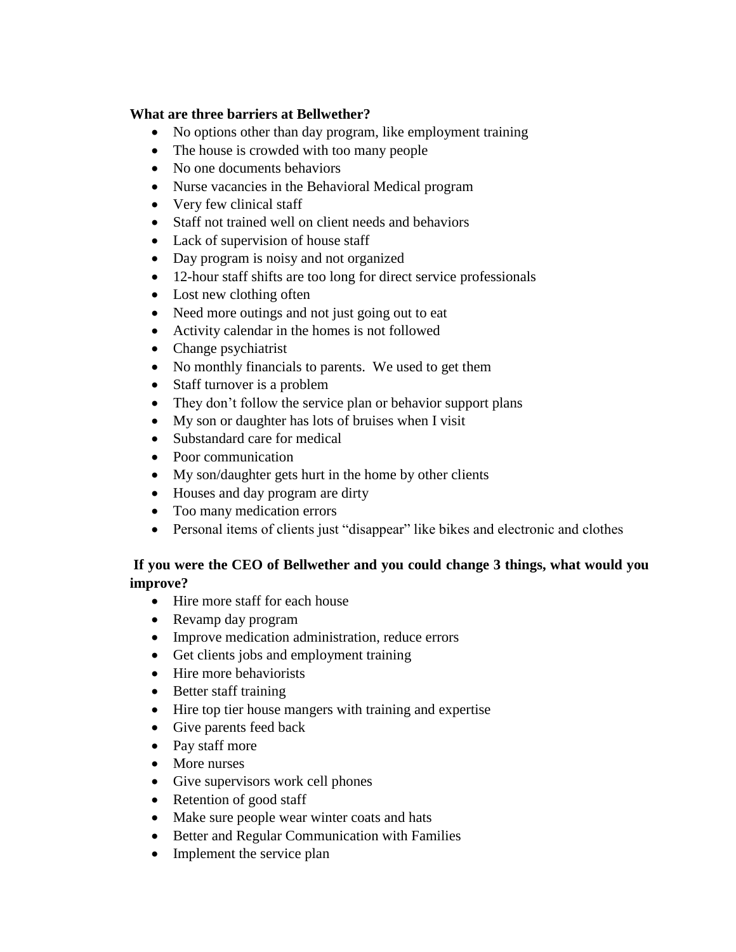#### **What are three barriers at Bellwether?**

- No options other than day program, like employment training
- The house is crowded with too many people
- No one documents behaviors
- Nurse vacancies in the Behavioral Medical program
- Very few clinical staff
- Staff not trained well on client needs and behaviors
- Lack of supervision of house staff
- Day program is noisy and not organized
- 12-hour staff shifts are too long for direct service professionals
- Lost new clothing often
- Need more outings and not just going out to eat
- Activity calendar in the homes is not followed
- Change psychiatrist
- No monthly financials to parents. We used to get them
- Staff turnover is a problem
- They don't follow the service plan or behavior support plans
- My son or daughter has lots of bruises when I visit
- Substandard care for medical
- Poor communication
- My son/daughter gets hurt in the home by other clients
- Houses and day program are dirty
- Too many medication errors
- Personal items of clients just "disappear" like bikes and electronic and clothes

## **If you were the CEO of Bellwether and you could change 3 things, what would you improve?**

- Hire more staff for each house
- Revamp day program
- Improve medication administration, reduce errors
- Get clients jobs and employment training
- Hire more behaviorists
- Better staff training
- Hire top tier house mangers with training and expertise
- Give parents feed back
- Pay staff more
- More nurses
- Give supervisors work cell phones
- Retention of good staff
- Make sure people wear winter coats and hats
- Better and Regular Communication with Families
- Implement the service plan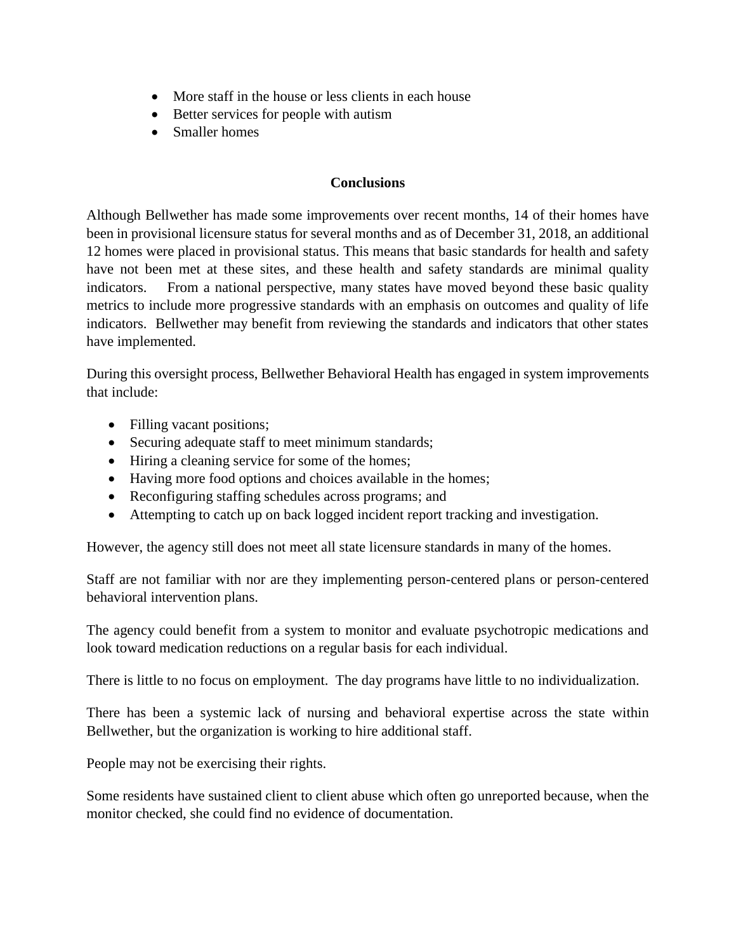- More staff in the house or less clients in each house
- Better services for people with autism
- Smaller homes

#### **Conclusions**

Although Bellwether has made some improvements over recent months, 14 of their homes have been in provisional licensure status for several months and as of December 31, 2018, an additional 12 homes were placed in provisional status. This means that basic standards for health and safety have not been met at these sites, and these health and safety standards are minimal quality indicators. From a national perspective, many states have moved beyond these basic quality metrics to include more progressive standards with an emphasis on outcomes and quality of life indicators. Bellwether may benefit from reviewing the standards and indicators that other states have implemented.

During this oversight process, Bellwether Behavioral Health has engaged in system improvements that include:

- Filling vacant positions;
- Securing adequate staff to meet minimum standards;
- Hiring a cleaning service for some of the homes;
- Having more food options and choices available in the homes;
- Reconfiguring staffing schedules across programs; and
- Attempting to catch up on back logged incident report tracking and investigation.

However, the agency still does not meet all state licensure standards in many of the homes.

Staff are not familiar with nor are they implementing person-centered plans or person-centered behavioral intervention plans.

The agency could benefit from a system to monitor and evaluate psychotropic medications and look toward medication reductions on a regular basis for each individual.

There is little to no focus on employment. The day programs have little to no individualization.

There has been a systemic lack of nursing and behavioral expertise across the state within Bellwether, but the organization is working to hire additional staff.

People may not be exercising their rights.

Some residents have sustained client to client abuse which often go unreported because, when the monitor checked, she could find no evidence of documentation.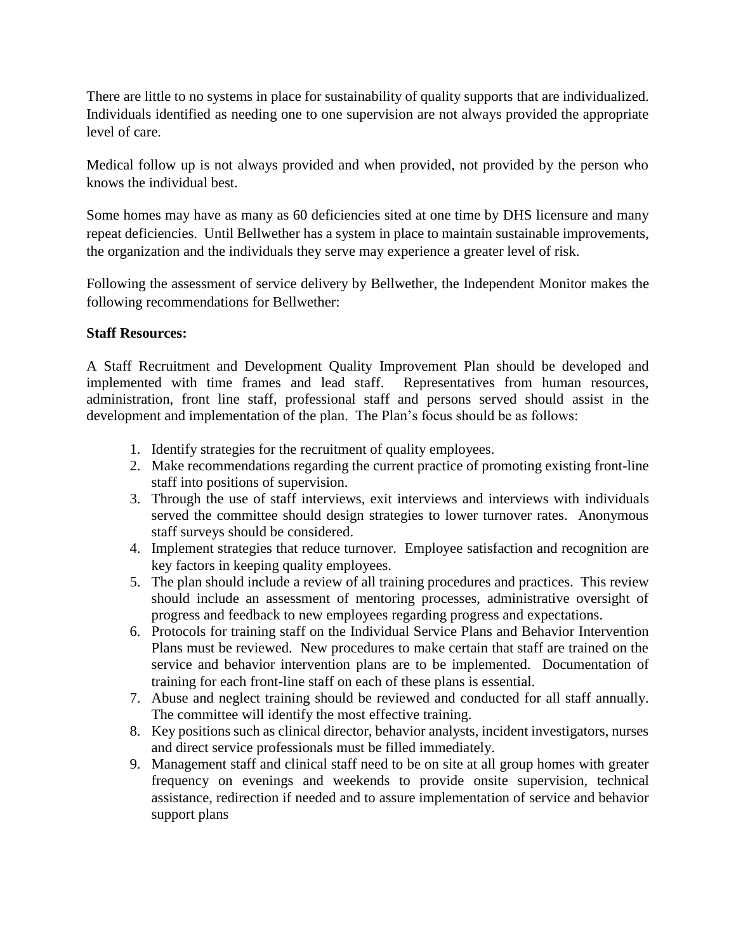There are little to no systems in place for sustainability of quality supports that are individualized. Individuals identified as needing one to one supervision are not always provided the appropriate level of care.

Medical follow up is not always provided and when provided, not provided by the person who knows the individual best.

Some homes may have as many as 60 deficiencies sited at one time by DHS licensure and many repeat deficiencies. Until Bellwether has a system in place to maintain sustainable improvements, the organization and the individuals they serve may experience a greater level of risk.

Following the assessment of service delivery by Bellwether, the Independent Monitor makes the following recommendations for Bellwether:

#### **Staff Resources:**

A Staff Recruitment and Development Quality Improvement Plan should be developed and implemented with time frames and lead staff. Representatives from human resources, administration, front line staff, professional staff and persons served should assist in the development and implementation of the plan. The Plan's focus should be as follows:

- 1. Identify strategies for the recruitment of quality employees.
- 2. Make recommendations regarding the current practice of promoting existing front-line staff into positions of supervision.
- 3. Through the use of staff interviews, exit interviews and interviews with individuals served the committee should design strategies to lower turnover rates. Anonymous staff surveys should be considered.
- 4. Implement strategies that reduce turnover. Employee satisfaction and recognition are key factors in keeping quality employees.
- 5. The plan should include a review of all training procedures and practices. This review should include an assessment of mentoring processes, administrative oversight of progress and feedback to new employees regarding progress and expectations.
- 6. Protocols for training staff on the Individual Service Plans and Behavior Intervention Plans must be reviewed. New procedures to make certain that staff are trained on the service and behavior intervention plans are to be implemented. Documentation of training for each front-line staff on each of these plans is essential.
- 7. Abuse and neglect training should be reviewed and conducted for all staff annually. The committee will identify the most effective training.
- 8. Key positions such as clinical director, behavior analysts, incident investigators, nurses and direct service professionals must be filled immediately.
- 9. Management staff and clinical staff need to be on site at all group homes with greater frequency on evenings and weekends to provide onsite supervision, technical assistance, redirection if needed and to assure implementation of service and behavior support plans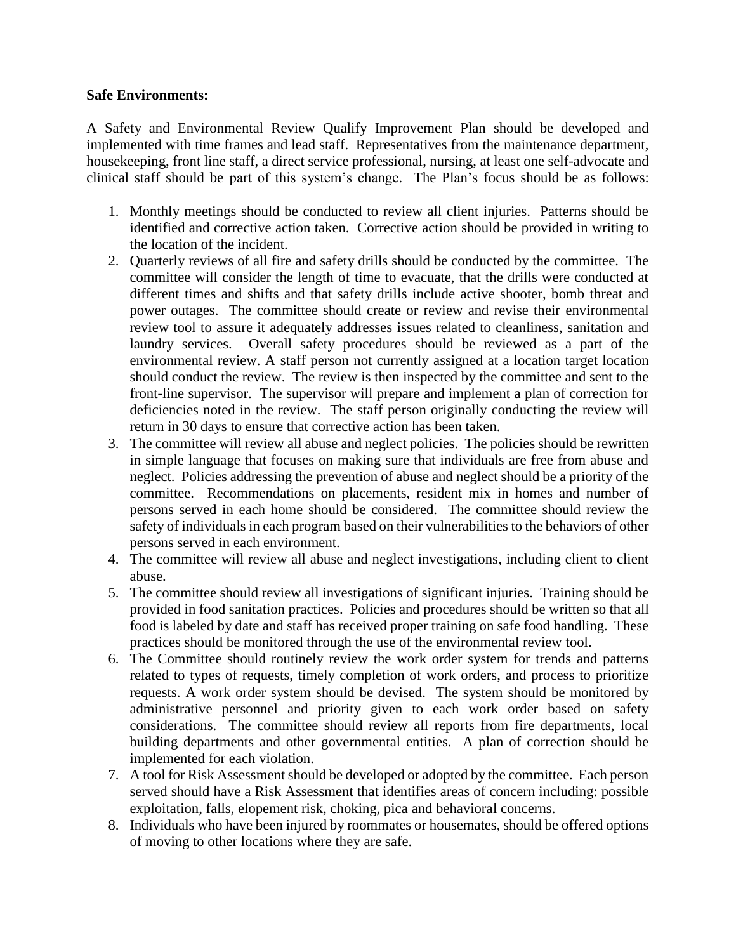#### **Safe Environments:**

A Safety and Environmental Review Qualify Improvement Plan should be developed and implemented with time frames and lead staff. Representatives from the maintenance department, housekeeping, front line staff, a direct service professional, nursing, at least one self-advocate and clinical staff should be part of this system's change. The Plan's focus should be as follows:

- 1. Monthly meetings should be conducted to review all client injuries. Patterns should be identified and corrective action taken. Corrective action should be provided in writing to the location of the incident.
- 2. Quarterly reviews of all fire and safety drills should be conducted by the committee. The committee will consider the length of time to evacuate, that the drills were conducted at different times and shifts and that safety drills include active shooter, bomb threat and power outages. The committee should create or review and revise their environmental review tool to assure it adequately addresses issues related to cleanliness, sanitation and laundry services. Overall safety procedures should be reviewed as a part of the environmental review. A staff person not currently assigned at a location target location should conduct the review. The review is then inspected by the committee and sent to the front-line supervisor. The supervisor will prepare and implement a plan of correction for deficiencies noted in the review. The staff person originally conducting the review will return in 30 days to ensure that corrective action has been taken.
- 3. The committee will review all abuse and neglect policies. The policies should be rewritten in simple language that focuses on making sure that individuals are free from abuse and neglect. Policies addressing the prevention of abuse and neglect should be a priority of the committee. Recommendations on placements, resident mix in homes and number of persons served in each home should be considered. The committee should review the safety of individuals in each program based on their vulnerabilities to the behaviors of other persons served in each environment.
- 4. The committee will review all abuse and neglect investigations, including client to client abuse.
- 5. The committee should review all investigations of significant injuries. Training should be provided in food sanitation practices. Policies and procedures should be written so that all food is labeled by date and staff has received proper training on safe food handling. These practices should be monitored through the use of the environmental review tool.
- 6. The Committee should routinely review the work order system for trends and patterns related to types of requests, timely completion of work orders, and process to prioritize requests. A work order system should be devised. The system should be monitored by administrative personnel and priority given to each work order based on safety considerations. The committee should review all reports from fire departments, local building departments and other governmental entities. A plan of correction should be implemented for each violation.
- 7. A tool for Risk Assessment should be developed or adopted by the committee. Each person served should have a Risk Assessment that identifies areas of concern including: possible exploitation, falls, elopement risk, choking, pica and behavioral concerns.
- 8. Individuals who have been injured by roommates or housemates, should be offered options of moving to other locations where they are safe.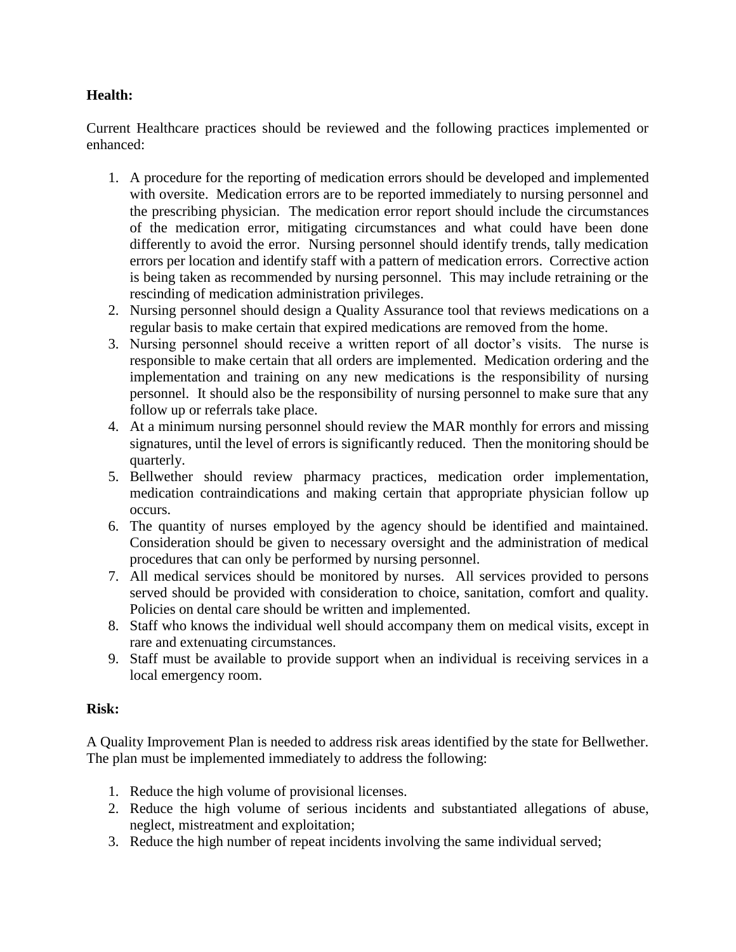## **Health:**

Current Healthcare practices should be reviewed and the following practices implemented or enhanced:

- 1. A procedure for the reporting of medication errors should be developed and implemented with oversite. Medication errors are to be reported immediately to nursing personnel and the prescribing physician. The medication error report should include the circumstances of the medication error, mitigating circumstances and what could have been done differently to avoid the error. Nursing personnel should identify trends, tally medication errors per location and identify staff with a pattern of medication errors. Corrective action is being taken as recommended by nursing personnel. This may include retraining or the rescinding of medication administration privileges.
- 2. Nursing personnel should design a Quality Assurance tool that reviews medications on a regular basis to make certain that expired medications are removed from the home.
- 3. Nursing personnel should receive a written report of all doctor's visits. The nurse is responsible to make certain that all orders are implemented. Medication ordering and the implementation and training on any new medications is the responsibility of nursing personnel. It should also be the responsibility of nursing personnel to make sure that any follow up or referrals take place.
- 4. At a minimum nursing personnel should review the MAR monthly for errors and missing signatures, until the level of errors is significantly reduced. Then the monitoring should be quarterly.
- 5. Bellwether should review pharmacy practices, medication order implementation, medication contraindications and making certain that appropriate physician follow up occurs.
- 6. The quantity of nurses employed by the agency should be identified and maintained. Consideration should be given to necessary oversight and the administration of medical procedures that can only be performed by nursing personnel.
- 7. All medical services should be monitored by nurses. All services provided to persons served should be provided with consideration to choice, sanitation, comfort and quality. Policies on dental care should be written and implemented.
- 8. Staff who knows the individual well should accompany them on medical visits, except in rare and extenuating circumstances.
- 9. Staff must be available to provide support when an individual is receiving services in a local emergency room.

#### **Risk:**

A Quality Improvement Plan is needed to address risk areas identified by the state for Bellwether. The plan must be implemented immediately to address the following:

- 1. Reduce the high volume of provisional licenses.
- 2. Reduce the high volume of serious incidents and substantiated allegations of abuse, neglect, mistreatment and exploitation;
- 3. Reduce the high number of repeat incidents involving the same individual served;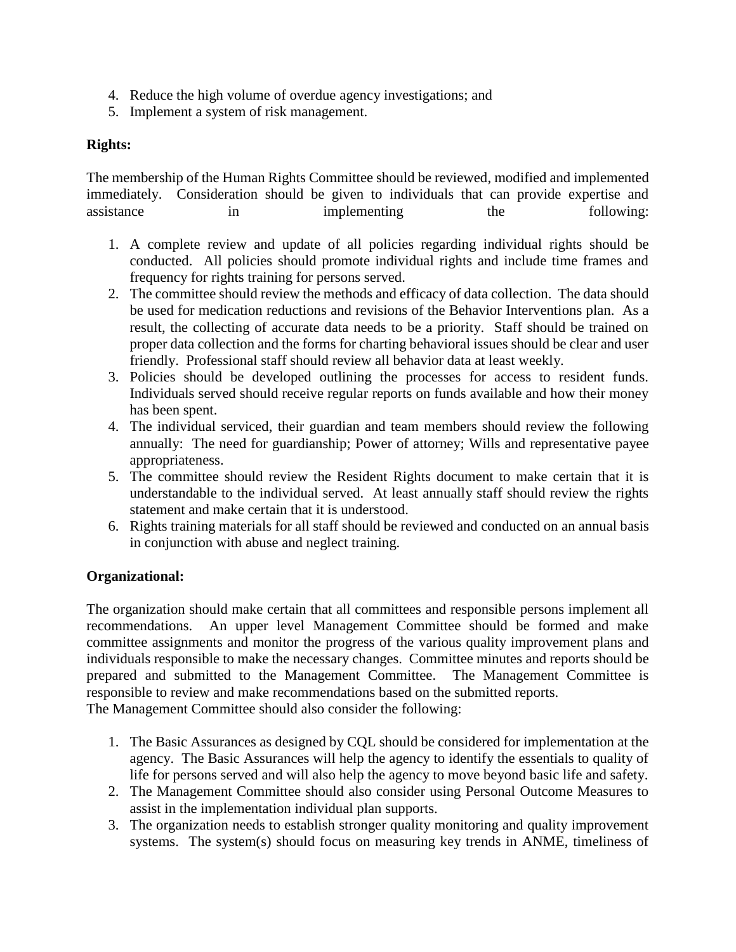- 4. Reduce the high volume of overdue agency investigations; and
- 5. Implement a system of risk management.

## **Rights:**

The membership of the Human Rights Committee should be reviewed, modified and implemented immediately. Consideration should be given to individuals that can provide expertise and assistance in implementing the following:

- 1. A complete review and update of all policies regarding individual rights should be conducted. All policies should promote individual rights and include time frames and frequency for rights training for persons served.
- 2. The committee should review the methods and efficacy of data collection. The data should be used for medication reductions and revisions of the Behavior Interventions plan. As a result, the collecting of accurate data needs to be a priority. Staff should be trained on proper data collection and the forms for charting behavioral issues should be clear and user friendly. Professional staff should review all behavior data at least weekly.
- 3. Policies should be developed outlining the processes for access to resident funds. Individuals served should receive regular reports on funds available and how their money has been spent.
- 4. The individual serviced, their guardian and team members should review the following annually: The need for guardianship; Power of attorney; Wills and representative payee appropriateness.
- 5. The committee should review the Resident Rights document to make certain that it is understandable to the individual served. At least annually staff should review the rights statement and make certain that it is understood.
- 6. Rights training materials for all staff should be reviewed and conducted on an annual basis in conjunction with abuse and neglect training.

#### **Organizational:**

The organization should make certain that all committees and responsible persons implement all recommendations. An upper level Management Committee should be formed and make committee assignments and monitor the progress of the various quality improvement plans and individuals responsible to make the necessary changes. Committee minutes and reports should be prepared and submitted to the Management Committee. The Management Committee is responsible to review and make recommendations based on the submitted reports. The Management Committee should also consider the following:

- - 1. The Basic Assurances as designed by CQL should be considered for implementation at the agency. The Basic Assurances will help the agency to identify the essentials to quality of life for persons served and will also help the agency to move beyond basic life and safety.
	- 2. The Management Committee should also consider using Personal Outcome Measures to assist in the implementation individual plan supports.
	- 3. The organization needs to establish stronger quality monitoring and quality improvement systems. The system(s) should focus on measuring key trends in ANME, timeliness of